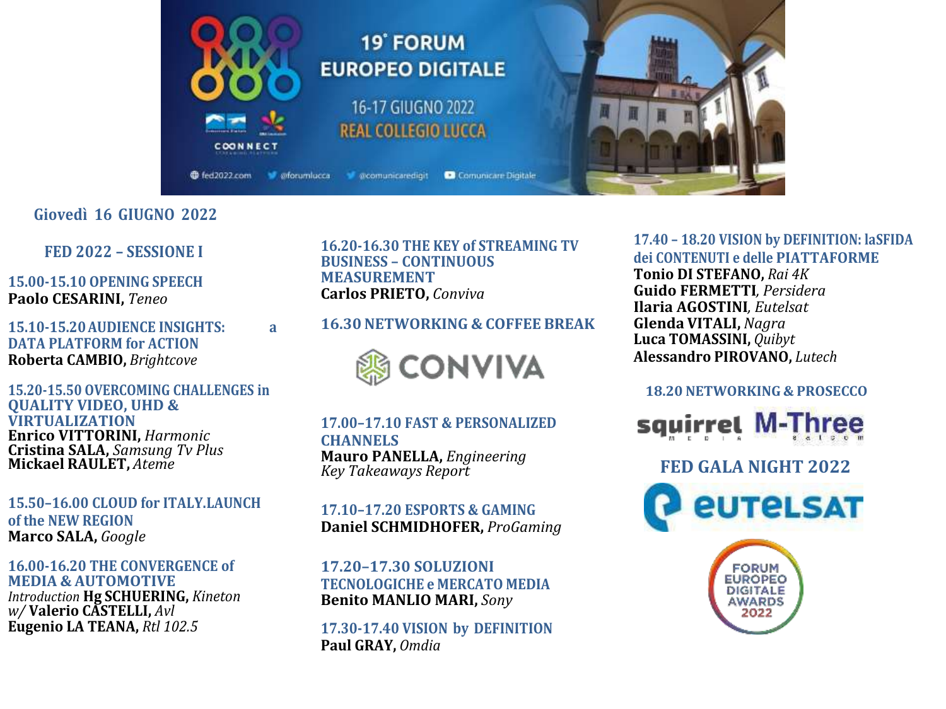

# Giovedì 16 GIUGNO 2022

FED 2022 - SESSIONE I

**15.00-15.10 OPENING SPEECH** Paolo CESARINI, Teneo

15.10-15.20 AUDIENCE INSIGHTS: **DATA PLATFORM for ACTION** Roberta CAMBIO, Brightcove

a

15.20-15.50 OVERCOMING CHALLENGES in **QUALITY VIDEO, UHD & VIRTUALIZATION Enrico VITTORINI, Harmonic** Cristina SALA, Samsung Tv Plus **Mickael RAULET, Ateme** 

15.50-16.00 CLOUD for ITALY.LAUNCH of the NEW REGION Marco SALA, Google

16.00-16.20 THE CONVERGENCE of **MEDIA & AUTOMOTIVE Introduction Hg SCHUERING, Kineton** w/Valerio CASTELLI, Avl Eugenio LA TEANA, Rtl 102.5

16.20-16.30 THE KEY of STREAMING TV **BUSINESS - CONTINUOUS MEASUREMENT Carlos PRIETO, Conviva** 

# **16.30 NETWORKING & COFFEE BREAK**



**17.00-17.10 FAST & PERSONALIZED CHANNELS Mauro PANELLA, Engineering Key Takeaways Report** 

## **17.10-17.20 ESPORTS & GAMING** Daniel SCHMIDHOFER, ProGaming

17.20-17.30 SOLUZIONI **TECNOLOGICHE e MERCATO MEDIA Benito MANLIO MARI, Sony** 

17.30-17.40 VISION by DEFINITION Paul GRAY, Omdia

# 17.40 - 18.20 VISION by DEFINITION: laSFIDA dei CONTENUTI e delle PIATTAFORME

Tonio DI STEFANO, Rai 4K **Guido FERMETTI**, Persidera **Ilaria AGOSTINI**. Eutelsat **Glenda VITALI, Nagra** Luca TOMASSINI, Quibyt **Alessandro PIROVANO.** Lutech

#### **18.20 NETWORKING & PROSECCO**



**FED GALA NIGHT 2022** *EUTELSAT*